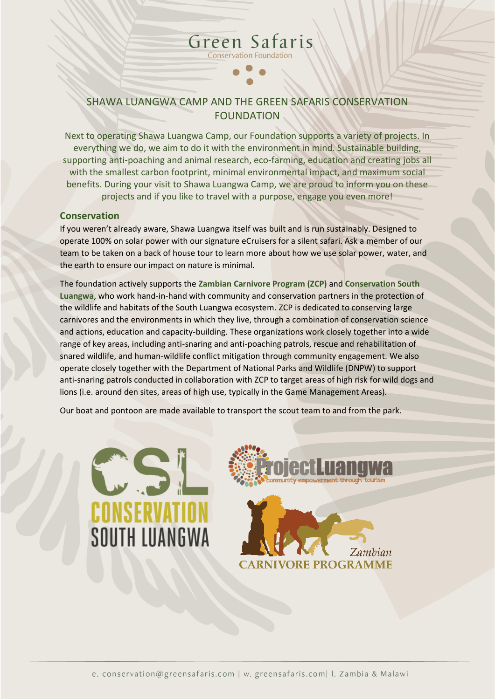### SHAWA LUANGWA CAMP AND THE GREEN SAFARIS CONSERVATION FOUNDATION

Green Safaris **Conservation Foundation** 

Next to operating Shawa Luangwa Camp, our Foundation supports a variety of projects. In everything we do, we aim to do it with the environment in mind. Sustainable building, supporting anti-poaching and animal research, eco-farming, education and creating jobs all with the smallest carbon footprint, minimal environmental impact, and maximum social benefits. During your visit to Shawa Luangwa Camp, we are proud to inform you on these projects and if you like to travel with a purpose, engage you even more!

#### **Conservation**

If you weren't already aware, Shawa Luangwa itself was built and is run sustainably. Designed to operate 100% on solar power with our signature eCruisers for a silent safari. Ask a member of our team to be taken on a back of house tour to learn more about how we use solar power, water, and the earth to ensure our impact on nature is minimal.

The foundation actively supports the **[Zambian Carnivore Program](https://www.zambiacarnivores.org/) (ZCP)** and **[Conservation South](https://cslzambia.org/)  [Luangwa](https://cslzambia.org/)**, who work hand-in-hand with community and conservation partners in the protection of the wildlife and habitats of the South Luangwa ecosystem. ZCP is dedicated to conserving large carnivores and the environments in which they live, through a combination of conservation science and actions, education and capacity-building. These organizations work closely together into a wide range of key areas, including anti-snaring and anti-poaching patrols, rescue and rehabilitation of snared wildlife, and human-wildlife conflict mitigation through community engagement. We also operate closely together with the Department of National Parks and Wildlife (DNPW) to support anti-snaring patrols conducted in collaboration with ZCP to target areas of high risk for wild dogs and lions (i.e. around den sites, areas of high use, typically in the Game Management Areas).

Our boat and pontoon are made available to transport the scout team to and from the park.



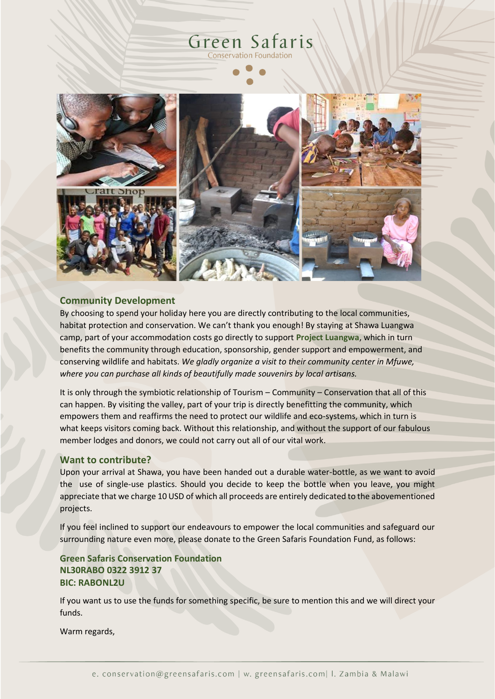## Green Safaris **Conservation Foundation**



#### **Community Development**

By choosing to spend your holiday here you are directly contributing to the local communities, habitat protection and conservation. We can't thank you enough! By staying at Shawa Luangwa camp, part of your accommodation costs go directly to support **Project Luangwa**, which in turn benefits the community through education, sponsorship, gender support and empowerment, and conserving wildlife and habitats. *We gladly organize a visit to their community center in Mfuwe, where you can purchase all kinds of beautifully made souvenirs by local artisans.* 

It is only through the symbiotic relationship of Tourism – Community – Conservation that all of this can happen. By visiting the valley, part of your trip is directly benefitting the community, which empowers them and reaffirms the need to protect our wildlife and eco-systems, which in turn is what keeps visitors coming back. Without this relationship, and without the support of our fabulous member lodges and donors, we could not carry out all of our vital work.

#### **Want to contribute?**

Upon your arrival at Shawa, you have been handed out a durable water-bottle, as we want to avoid the use of single-use plastics. Should you decide to keep the bottle when you leave, you might appreciate that we charge 10 USD of which all proceeds are entirely dedicated to the abovementioned projects.

If you feel inclined to support our endeavours to empower the local communities and safeguard our surrounding nature even more, please donate to the Green Safaris Foundation Fund, as follows:

**Green Safaris Conservation Foundation NL30RABO 0322 3912 37 BIC: RABONL2U**

If you want us to use the funds for something specific, be sure to mention this and we will direct your funds.

Warm regards,